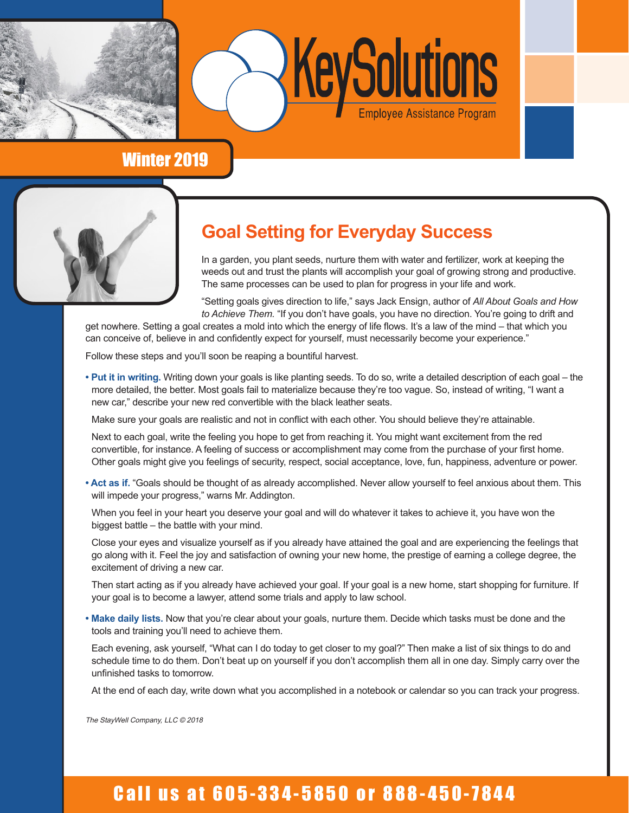



## Winter 2019



# **Goal Setting for Everyday Success**

In a garden, you plant seeds, nurture them with water and fertilizer, work at keeping the weeds out and trust the plants will accomplish your goal of growing strong and productive. The same processes can be used to plan for progress in your life and work.

"Setting goals gives direction to life," says Jack Ensign, author of *All About Goals and How to Achieve Them.* "If you don't have goals, you have no direction. You're going to drift and

get nowhere. Setting a goal creates a mold into which the energy of life flows. It's a law of the mind – that which you can conceive of, believe in and confidently expect for yourself, must necessarily become your experience."

Follow these steps and you'll soon be reaping a bountiful harvest.

**• Put it in writing.** Writing down your goals is like planting seeds. To do so, write a detailed description of each goal – the more detailed, the better. Most goals fail to materialize because they're too vague. So, instead of writing, "I want a new car," describe your new red convertible with the black leather seats.

Make sure your goals are realistic and not in conflict with each other. You should believe they're attainable.

Next to each goal, write the feeling you hope to get from reaching it. You might want excitement from the red convertible, for instance. A feeling of success or accomplishment may come from the purchase of your first home. Other goals might give you feelings of security, respect, social acceptance, love, fun, happiness, adventure or power.

**• Act as if.** "Goals should be thought of as already accomplished. Never allow yourself to feel anxious about them. This will impede your progress," warns Mr. Addington.

When you feel in your heart you deserve your goal and will do whatever it takes to achieve it, you have won the biggest battle – the battle with your mind.

Close your eyes and visualize yourself as if you already have attained the goal and are experiencing the feelings that go along with it. Feel the joy and satisfaction of owning your new home, the prestige of earning a college degree, the excitement of driving a new car.

Then start acting as if you already have achieved your goal. If your goal is a new home, start shopping for furniture. If your goal is to become a lawyer, attend some trials and apply to law school.

**• Make daily lists.** Now that you're clear about your goals, nurture them. Decide which tasks must be done and the tools and training you'll need to achieve them.

Each evening, ask yourself, "What can I do today to get closer to my goal?" Then make a list of six things to do and schedule time to do them. Don't beat up on yourself if you don't accomplish them all in one day. Simply carry over the unfinished tasks to tomorrow.

At the end of each day, write down what you accomplished in a notebook or calendar so you can track your progress.

The StayWell Company, LLC © 2018

# Call us at 605-334-5850 or 888-450-7844